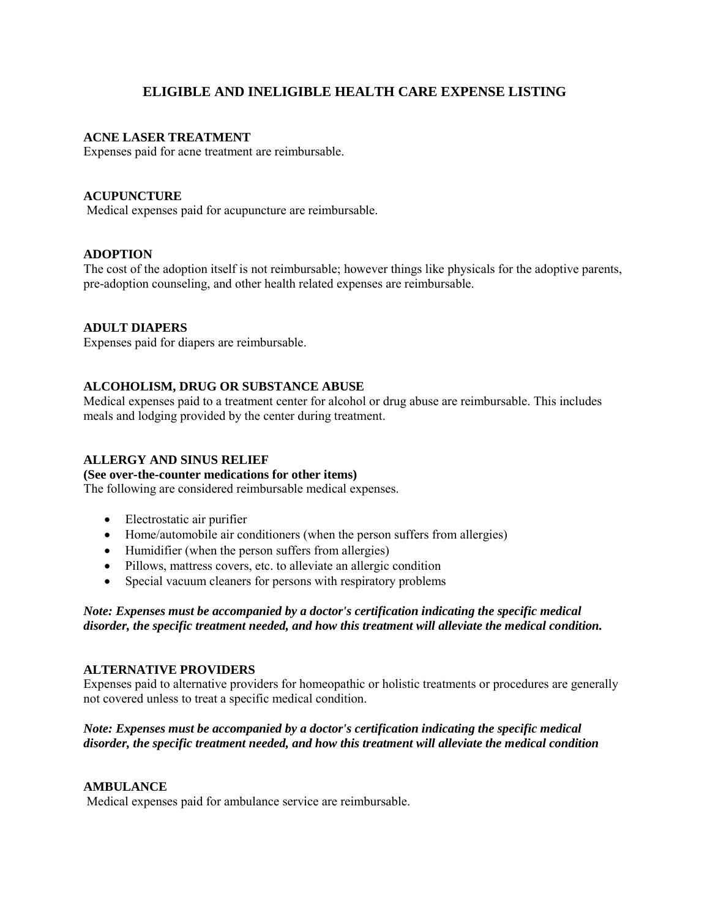# **ELIGIBLE AND INELIGIBLE HEALTH CARE EXPENSE LISTING**

## **ACNE LASER TREATMENT**

Expenses paid for acne treatment are reimbursable.

## **ACUPUNCTURE**

Medical expenses paid for acupuncture are reimbursable.

# **ADOPTION**

The cost of the adoption itself is not reimbursable; however things like physicals for the adoptive parents, pre-adoption counseling, and other health related expenses are reimbursable.

# **ADULT DIAPERS**

Expenses paid for diapers are reimbursable.

## **ALCOHOLISM, DRUG OR SUBSTANCE ABUSE**

Medical expenses paid to a treatment center for alcohol or drug abuse are reimbursable. This includes meals and lodging provided by the center during treatment.

## **ALLERGY AND SINUS RELIEF**

**(See over-the-counter medications for other items)** 

The following are considered reimbursable medical expenses.

- Electrostatic air purifier
- Home/automobile air conditioners (when the person suffers from allergies)
- Humidifier (when the person suffers from allergies)
- Pillows, mattress covers, etc. to alleviate an allergic condition
- Special vacuum cleaners for persons with respiratory problems

*Note: Expenses must be accompanied by a doctor's certification indicating the specific medical disorder, the specific treatment needed, and how this treatment will alleviate the medical condition.* 

## **ALTERNATIVE PROVIDERS**

Expenses paid to alternative providers for homeopathic or holistic treatments or procedures are generally not covered unless to treat a specific medical condition.

# *Note: Expenses must be accompanied by a doctor's certification indicating the specific medical disorder, the specific treatment needed, and how this treatment will alleviate the medical condition*

## **AMBULANCE**

Medical expenses paid for ambulance service are reimbursable.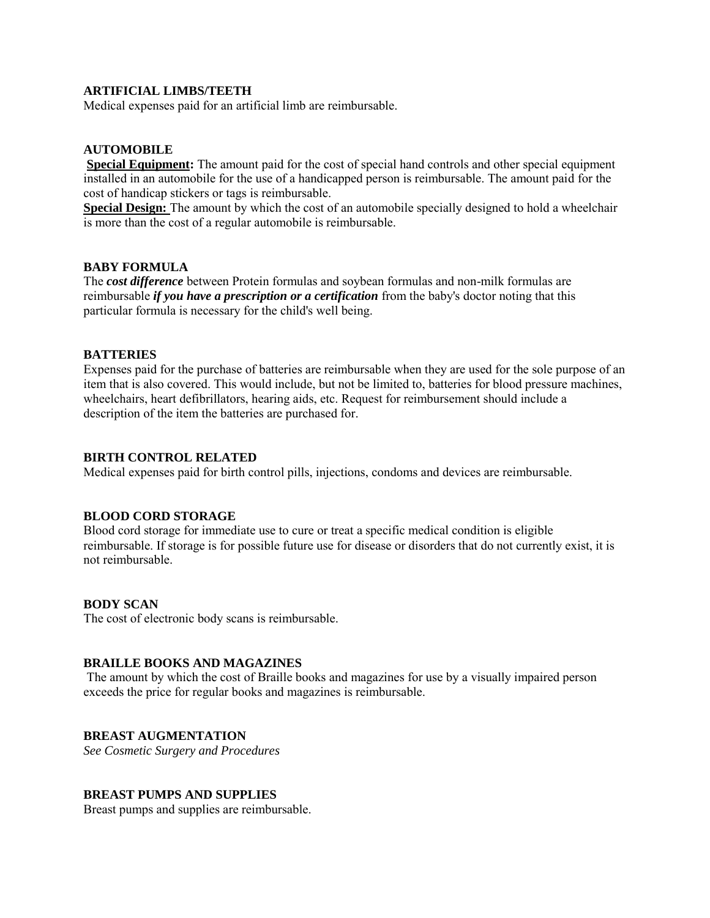## **ARTIFICIAL LIMBS/TEETH**

Medical expenses paid for an artificial limb are reimbursable.

# **AUTOMOBILE**

**Special Equipment:** The amount paid for the cost of special hand controls and other special equipment installed in an automobile for the use of a handicapped person is reimbursable. The amount paid for the cost of handicap stickers or tags is reimbursable.

**Special Design:** The amount by which the cost of an automobile specially designed to hold a wheelchair is more than the cost of a regular automobile is reimbursable.

### **BABY FORMULA**

The *cost difference* between Protein formulas and soybean formulas and non-milk formulas are reimbursable *if you have a prescription or a certification* from the baby's doctor noting that this particular formula is necessary for the child's well being.

### **BATTERIES**

Expenses paid for the purchase of batteries are reimbursable when they are used for the sole purpose of an item that is also covered. This would include, but not be limited to, batteries for blood pressure machines, wheelchairs, heart defibrillators, hearing aids, etc. Request for reimbursement should include a description of the item the batteries are purchased for.

### **BIRTH CONTROL RELATED**

Medical expenses paid for birth control pills, injections, condoms and devices are reimbursable.

## **BLOOD CORD STORAGE**

Blood cord storage for immediate use to cure or treat a specific medical condition is eligible reimbursable. If storage is for possible future use for disease or disorders that do not currently exist, it is not reimbursable.

### **BODY SCAN**

The cost of electronic body scans is reimbursable.

## **BRAILLE BOOKS AND MAGAZINES**

The amount by which the cost of Braille books and magazines for use by a visually impaired person exceeds the price for regular books and magazines is reimbursable.

## **BREAST AUGMENTATION**

*See Cosmetic Surgery and Procedures* 

## **BREAST PUMPS AND SUPPLIES**

Breast pumps and supplies are reimbursable.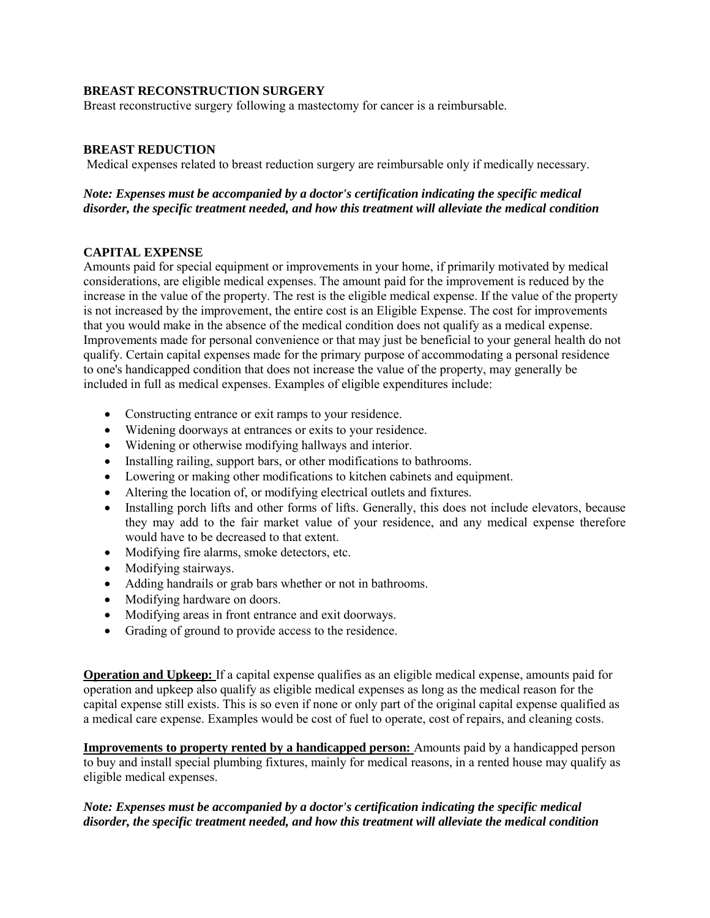## **BREAST RECONSTRUCTION SURGERY**

Breast reconstructive surgery following a mastectomy for cancer is a reimbursable.

# **BREAST REDUCTION**

Medical expenses related to breast reduction surgery are reimbursable only if medically necessary.

## *Note: Expenses must be accompanied by a doctor's certification indicating the specific medical disorder, the specific treatment needed, and how this treatment will alleviate the medical condition*

# **CAPITAL EXPENSE**

Amounts paid for special equipment or improvements in your home, if primarily motivated by medical considerations, are eligible medical expenses. The amount paid for the improvement is reduced by the increase in the value of the property. The rest is the eligible medical expense. If the value of the property is not increased by the improvement, the entire cost is an Eligible Expense. The cost for improvements that you would make in the absence of the medical condition does not qualify as a medical expense. Improvements made for personal convenience or that may just be beneficial to your general health do not qualify. Certain capital expenses made for the primary purpose of accommodating a personal residence to one's handicapped condition that does not increase the value of the property, may generally be included in full as medical expenses. Examples of eligible expenditures include:

- Constructing entrance or exit ramps to your residence.
- Widening doorways at entrances or exits to your residence.
- Widening or otherwise modifying hallways and interior.
- Installing railing, support bars, or other modifications to bathrooms.
- Lowering or making other modifications to kitchen cabinets and equipment.
- Altering the location of, or modifying electrical outlets and fixtures.
- Installing porch lifts and other forms of lifts. Generally, this does not include elevators, because they may add to the fair market value of your residence, and any medical expense therefore would have to be decreased to that extent.
- Modifying fire alarms, smoke detectors, etc.
- Modifying stairways.
- Adding handrails or grab bars whether or not in bathrooms.
- Modifying hardware on doors.
- Modifying areas in front entrance and exit doorways.
- Grading of ground to provide access to the residence.

**Operation and Upkeep:** If a capital expense qualifies as an eligible medical expense, amounts paid for operation and upkeep also qualify as eligible medical expenses as long as the medical reason for the capital expense still exists. This is so even if none or only part of the original capital expense qualified as a medical care expense. Examples would be cost of fuel to operate, cost of repairs, and cleaning costs.

**Improvements to property rented by a handicapped person:** Amounts paid by a handicapped person to buy and install special plumbing fixtures, mainly for medical reasons, in a rented house may qualify as eligible medical expenses.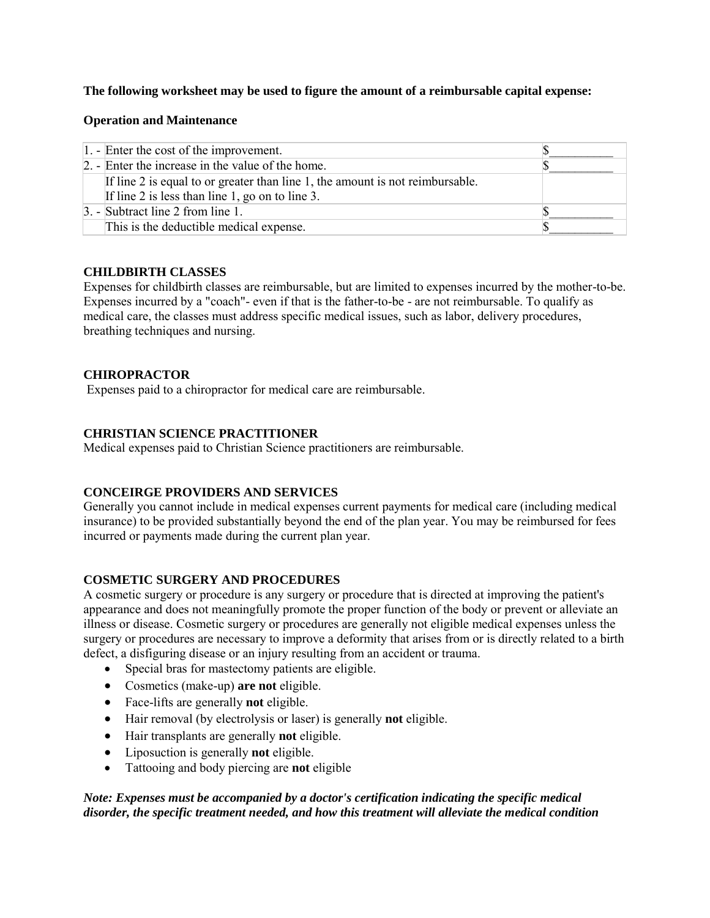# **The following worksheet may be used to figure the amount of a reimbursable capital expense:**

## **Operation and Maintenance**

| $ 1. - $ Enter the cost of the improvement.                                                                                      |  |
|----------------------------------------------------------------------------------------------------------------------------------|--|
| 2. - Enter the increase in the value of the home.                                                                                |  |
| If line 2 is equal to or greater than line 1, the amount is not reimbursable.<br>If line 2 is less than line 1, go on to line 3. |  |
| $\beta$ . - Subtract line 2 from line 1.                                                                                         |  |
| This is the deductible medical expense.                                                                                          |  |

## **CHILDBIRTH CLASSES**

Expenses for childbirth classes are reimbursable, but are limited to expenses incurred by the mother-to-be. Expenses incurred by a "coach"- even if that is the father-to-be - are not reimbursable. To qualify as medical care, the classes must address specific medical issues, such as labor, delivery procedures, breathing techniques and nursing.

## **CHIROPRACTOR**

Expenses paid to a chiropractor for medical care are reimbursable.

# **CHRISTIAN SCIENCE PRACTITIONER**

Medical expenses paid to Christian Science practitioners are reimbursable.

# **CONCEIRGE PROVIDERS AND SERVICES**

Generally you cannot include in medical expenses current payments for medical care (including medical insurance) to be provided substantially beyond the end of the plan year. You may be reimbursed for fees incurred or payments made during the current plan year.

## **COSMETIC SURGERY AND PROCEDURES**

A cosmetic surgery or procedure is any surgery or procedure that is directed at improving the patient's appearance and does not meaningfully promote the proper function of the body or prevent or alleviate an illness or disease. Cosmetic surgery or procedures are generally not eligible medical expenses unless the surgery or procedures are necessary to improve a deformity that arises from or is directly related to a birth defect, a disfiguring disease or an injury resulting from an accident or trauma.

- Special bras for mastectomy patients are eligible.
- Cosmetics (make-up) **are not** eligible.
- Face-lifts are generally **not** eligible.
- Hair removal (by electrolysis or laser) is generally **not** eligible.
- Hair transplants are generally **not** eligible.
- Liposuction is generally **not** eligible.
- Tattooing and body piercing are **not** eligible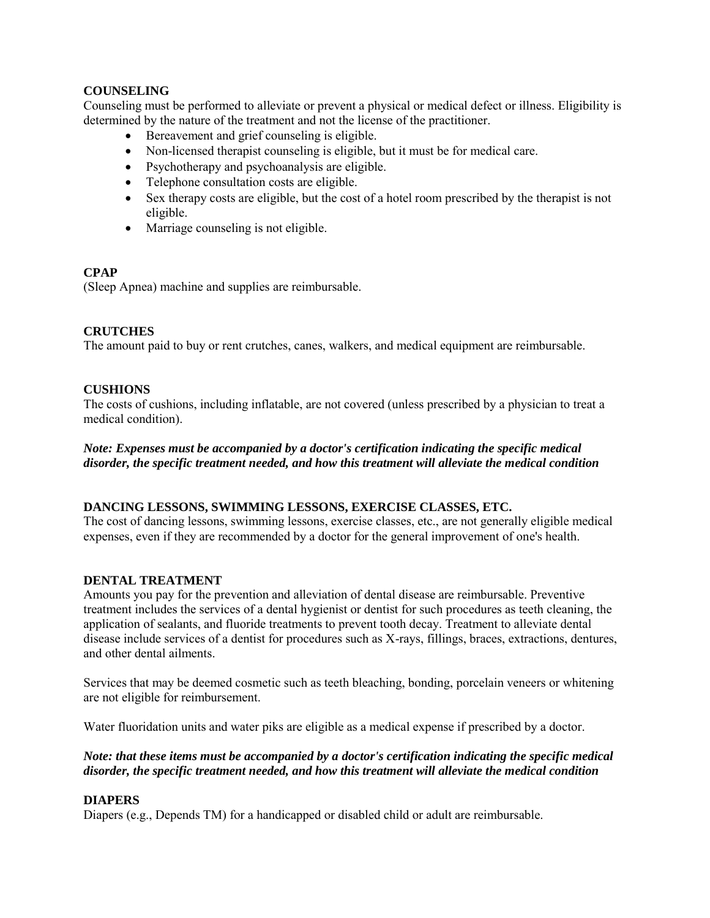# **COUNSELING**

Counseling must be performed to alleviate or prevent a physical or medical defect or illness. Eligibility is determined by the nature of the treatment and not the license of the practitioner.

- Bereavement and grief counseling is eligible.
- Non-licensed therapist counseling is eligible, but it must be for medical care.
- Psychotherapy and psychoanalysis are eligible.
- Telephone consultation costs are eligible.
- Sex therapy costs are eligible, but the cost of a hotel room prescribed by the therapist is not eligible.
- Marriage counseling is not eligible.

## **CPAP**

(Sleep Apnea) machine and supplies are reimbursable.

## **CRUTCHES**

The amount paid to buy or rent crutches, canes, walkers, and medical equipment are reimbursable.

## **CUSHIONS**

The costs of cushions, including inflatable, are not covered (unless prescribed by a physician to treat a medical condition).

# *Note: Expenses must be accompanied by a doctor's certification indicating the specific medical disorder, the specific treatment needed, and how this treatment will alleviate the medical condition*

## **DANCING LESSONS, SWIMMING LESSONS, EXERCISE CLASSES, ETC.**

The cost of dancing lessons, swimming lessons, exercise classes, etc., are not generally eligible medical expenses, even if they are recommended by a doctor for the general improvement of one's health.

## **DENTAL TREATMENT**

Amounts you pay for the prevention and alleviation of dental disease are reimbursable. Preventive treatment includes the services of a dental hygienist or dentist for such procedures as teeth cleaning, the application of sealants, and fluoride treatments to prevent tooth decay. Treatment to alleviate dental disease include services of a dentist for procedures such as X-rays, fillings, braces, extractions, dentures, and other dental ailments.

Services that may be deemed cosmetic such as teeth bleaching, bonding, porcelain veneers or whitening are not eligible for reimbursement.

Water fluoridation units and water piks are eligible as a medical expense if prescribed by a doctor.

# *Note: that these items must be accompanied by a doctor's certification indicating the specific medical disorder, the specific treatment needed, and how this treatment will alleviate the medical condition*

## **DIAPERS**

Diapers (e.g., Depends TM) for a handicapped or disabled child or adult are reimbursable.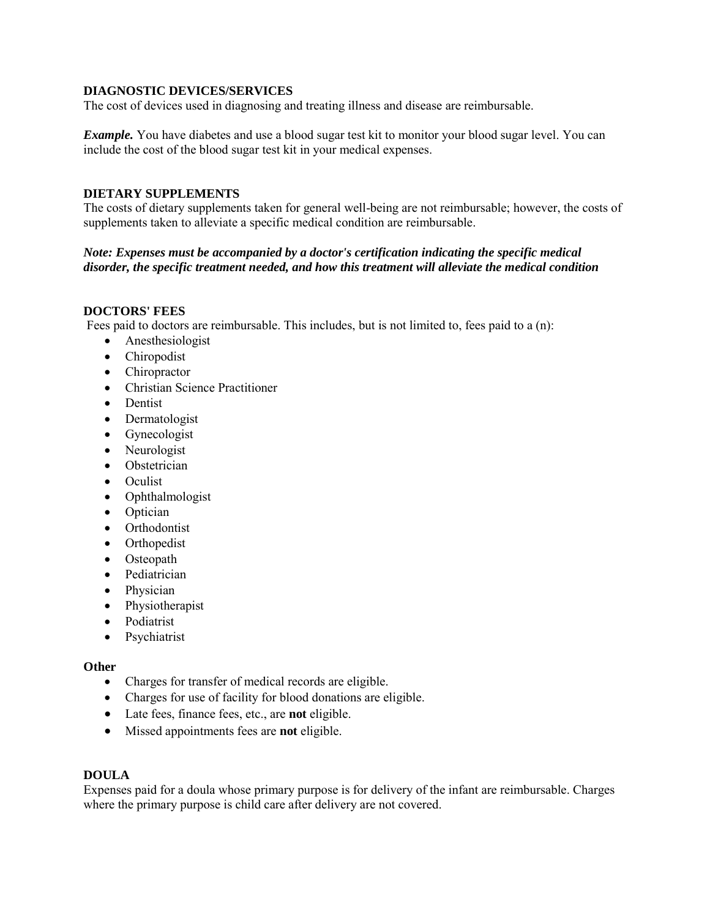## **DIAGNOSTIC DEVICES/SERVICES**

The cost of devices used in diagnosing and treating illness and disease are reimbursable.

*Example.* You have diabetes and use a blood sugar test kit to monitor your blood sugar level. You can include the cost of the blood sugar test kit in your medical expenses.

### **DIETARY SUPPLEMENTS**

The costs of dietary supplements taken for general well-being are not reimbursable; however, the costs of supplements taken to alleviate a specific medical condition are reimbursable.

## *Note: Expenses must be accompanied by a doctor's certification indicating the specific medical disorder, the specific treatment needed, and how this treatment will alleviate the medical condition*

## **DOCTORS' FEES**

Fees paid to doctors are reimbursable. This includes, but is not limited to, fees paid to a (n):

- Anesthesiologist
- Chiropodist
- Chiropractor
- Christian Science Practitioner
- Dentist
- Dermatologist
- Gynecologist
- Neurologist
- Obstetrician
- Oculist
- Ophthalmologist
- Optician
- Orthodontist
- Orthopedist
- Osteopath
- Pediatrician
- Physician
- Physiotherapist
- Podiatrist
- Psychiatrist

### **Other**

- Charges for transfer of medical records are eligible.
- Charges for use of facility for blood donations are eligible.
- Late fees, finance fees, etc., are **not** eligible.
- Missed appointments fees are **not** eligible.

### **DOULA**

Expenses paid for a doula whose primary purpose is for delivery of the infant are reimbursable. Charges where the primary purpose is child care after delivery are not covered.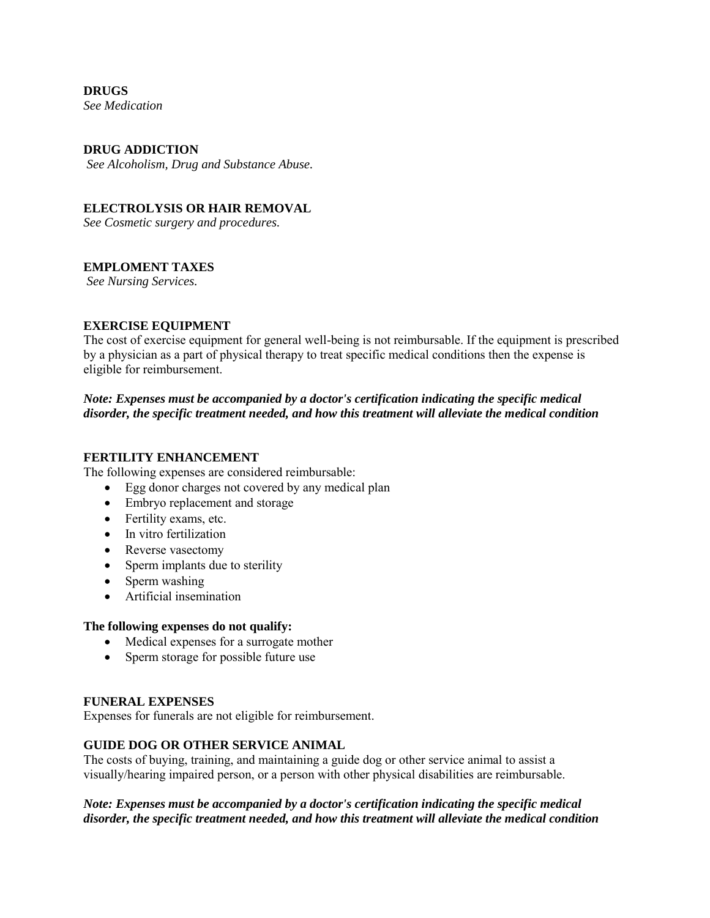# **DRUGS**

*See Medication* 

## **DRUG ADDICTION**

*See Alcoholism, Drug and Substance Abuse.* 

### **ELECTROLYSIS OR HAIR REMOVAL**

*See Cosmetic surgery and procedures.*

## **EMPLOMENT TAXES**

*See Nursing Services.* 

## **EXERCISE EQUIPMENT**

The cost of exercise equipment for general well-being is not reimbursable. If the equipment is prescribed by a physician as a part of physical therapy to treat specific medical conditions then the expense is eligible for reimbursement.

# *Note: Expenses must be accompanied by a doctor's certification indicating the specific medical disorder, the specific treatment needed, and how this treatment will alleviate the medical condition*

## **FERTILITY ENHANCEMENT**

The following expenses are considered reimbursable:

- Egg donor charges not covered by any medical plan
- Embryo replacement and storage
- Fertility exams, etc.
- In vitro fertilization
- Reverse vasectomy
- Sperm implants due to sterility
- Sperm washing
- Artificial insemination

### **The following expenses do not qualify:**

- Medical expenses for a surrogate mother
- Sperm storage for possible future use

### **FUNERAL EXPENSES**

Expenses for funerals are not eligible for reimbursement.

## **GUIDE DOG OR OTHER SERVICE ANIMAL**

The costs of buying, training, and maintaining a guide dog or other service animal to assist a visually/hearing impaired person, or a person with other physical disabilities are reimbursable.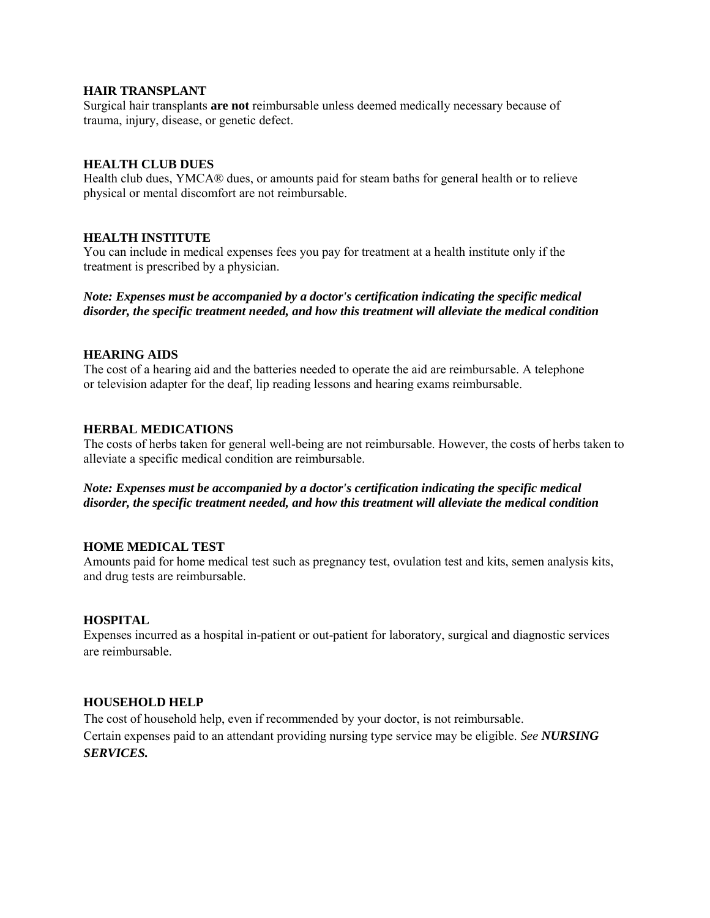### **HAIR TRANSPLANT**

Surgical hair transplants **are not** reimbursable unless deemed medically necessary because of trauma, injury, disease, or genetic defect.

### **HEALTH CLUB DUES**

Health club dues, YMCA® dues, or amounts paid for steam baths for general health or to relieve physical or mental discomfort are not reimbursable.

### **HEALTH INSTITUTE**

You can include in medical expenses fees you pay for treatment at a health institute only if the treatment is prescribed by a physician.

*Note: Expenses must be accompanied by a doctor's certification indicating the specific medical disorder, the specific treatment needed, and how this treatment will alleviate the medical condition*

### **HEARING AIDS**

The cost of a hearing aid and the batteries needed to operate the aid are reimbursable. A telephone or television adapter for the deaf, lip reading lessons and hearing exams reimbursable.

### **HERBAL MEDICATIONS**

The costs of herbs taken for general well-being are not reimbursable. However, the costs of herbs taken to alleviate a specific medical condition are reimbursable.

*Note: Expenses must be accompanied by a doctor's certification indicating the specific medical disorder, the specific treatment needed, and how this treatment will alleviate the medical condition*

### **HOME MEDICAL TEST**

Amounts paid for home medical test such as pregnancy test, ovulation test and kits, semen analysis kits, and drug tests are reimbursable.

### **HOSPITAL**

Expenses incurred as a hospital in-patient or out-patient for laboratory, surgical and diagnostic services are reimbursable.

### **HOUSEHOLD HELP**

The cost of household help, even if recommended by your doctor, is not reimbursable. Certain expenses paid to an attendant providing nursing type service may be eligible. *See NURSING SERVICES.*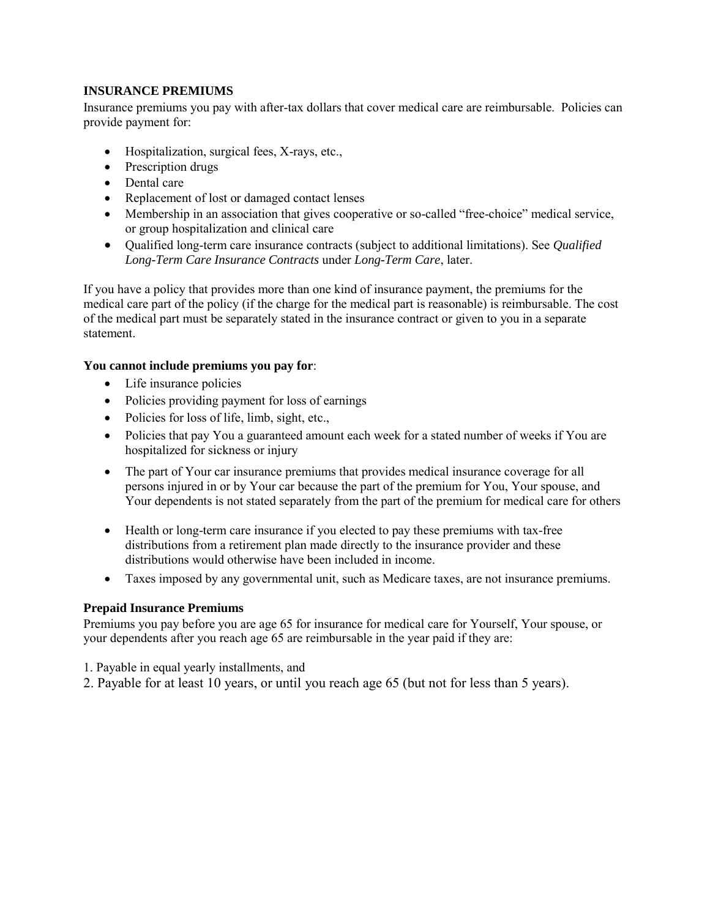# **INSURANCE PREMIUMS**

Insurance premiums you pay with after-tax dollars that cover medical care are reimbursable. Policies can provide payment for:

- Hospitalization, surgical fees, X-rays, etc.,
- Prescription drugs
- Dental care
- Replacement of lost or damaged contact lenses
- Membership in an association that gives cooperative or so-called "free-choice" medical service, or group hospitalization and clinical care
- Qualified long-term care insurance contracts (subject to additional limitations). See *Qualified Long-Term Care Insurance Contracts* under *Long-Term Care*, later.

If you have a policy that provides more than one kind of insurance payment, the premiums for the medical care part of the policy (if the charge for the medical part is reasonable) is reimbursable. The cost of the medical part must be separately stated in the insurance contract or given to you in a separate statement.

## **You cannot include premiums you pay for**:

- Life insurance policies
- Policies providing payment for loss of earnings
- Policies for loss of life, limb, sight, etc.,
- Policies that pay You a guaranteed amount each week for a stated number of weeks if You are hospitalized for sickness or injury
- The part of Your car insurance premiums that provides medical insurance coverage for all persons injured in or by Your car because the part of the premium for You, Your spouse, and Your dependents is not stated separately from the part of the premium for medical care for others
- Health or long-term care insurance if you elected to pay these premiums with tax-free distributions from a retirement plan made directly to the insurance provider and these distributions would otherwise have been included in income.
- Taxes imposed by any governmental unit, such as Medicare taxes, are not insurance premiums.

## **Prepaid Insurance Premiums**

Premiums you pay before you are age 65 for insurance for medical care for Yourself, Your spouse, or your dependents after you reach age 65 are reimbursable in the year paid if they are:

- 1. Payable in equal yearly installments, and
- 2. Payable for at least 10 years, or until you reach age 65 (but not for less than 5 years).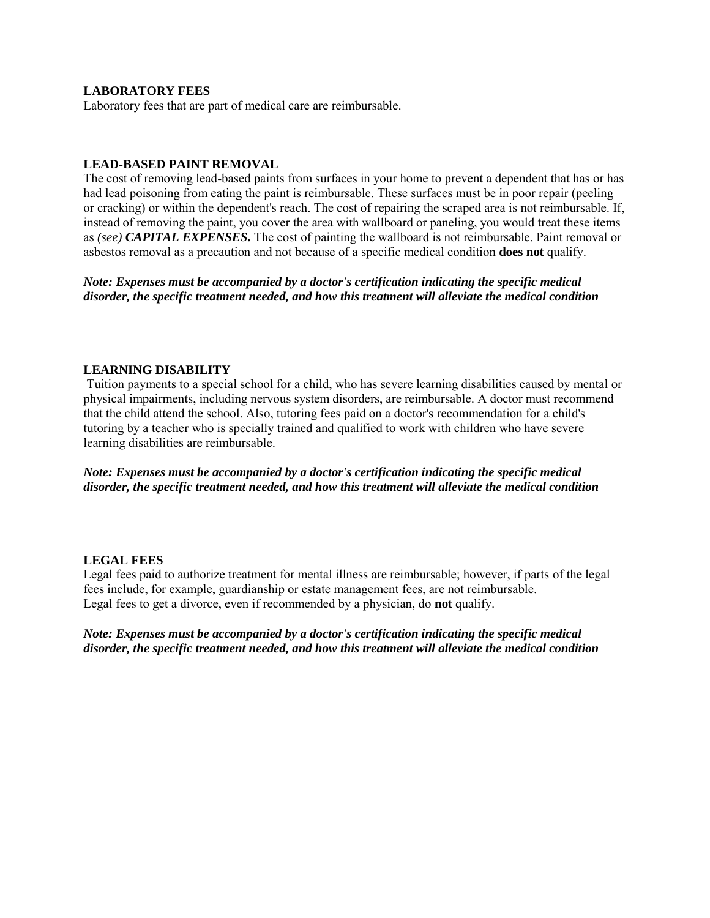# **LABORATORY FEES**

Laboratory fees that are part of medical care are reimbursable.

### **LEAD-BASED PAINT REMOVAL**

The cost of removing lead-based paints from surfaces in your home to prevent a dependent that has or has had lead poisoning from eating the paint is reimbursable. These surfaces must be in poor repair (peeling or cracking) or within the dependent's reach. The cost of repairing the scraped area is not reimbursable. If, instead of removing the paint, you cover the area with wallboard or paneling, you would treat these items as *(see) CAPITAL EXPENSES***.** The cost of painting the wallboard is not reimbursable. Paint removal or asbestos removal as a precaution and not because of a specific medical condition **does not** qualify.

*Note: Expenses must be accompanied by a doctor's certification indicating the specific medical disorder, the specific treatment needed, and how this treatment will alleviate the medical condition*

### **LEARNING DISABILITY**

Tuition payments to a special school for a child, who has severe learning disabilities caused by mental or physical impairments, including nervous system disorders, are reimbursable. A doctor must recommend that the child attend the school. Also, tutoring fees paid on a doctor's recommendation for a child's tutoring by a teacher who is specially trained and qualified to work with children who have severe learning disabilities are reimbursable.

*Note: Expenses must be accompanied by a doctor's certification indicating the specific medical disorder, the specific treatment needed, and how this treatment will alleviate the medical condition*

### **LEGAL FEES**

Legal fees paid to authorize treatment for mental illness are reimbursable; however, if parts of the legal fees include, for example, guardianship or estate management fees, are not reimbursable. Legal fees to get a divorce, even if recommended by a physician, do **not** qualify.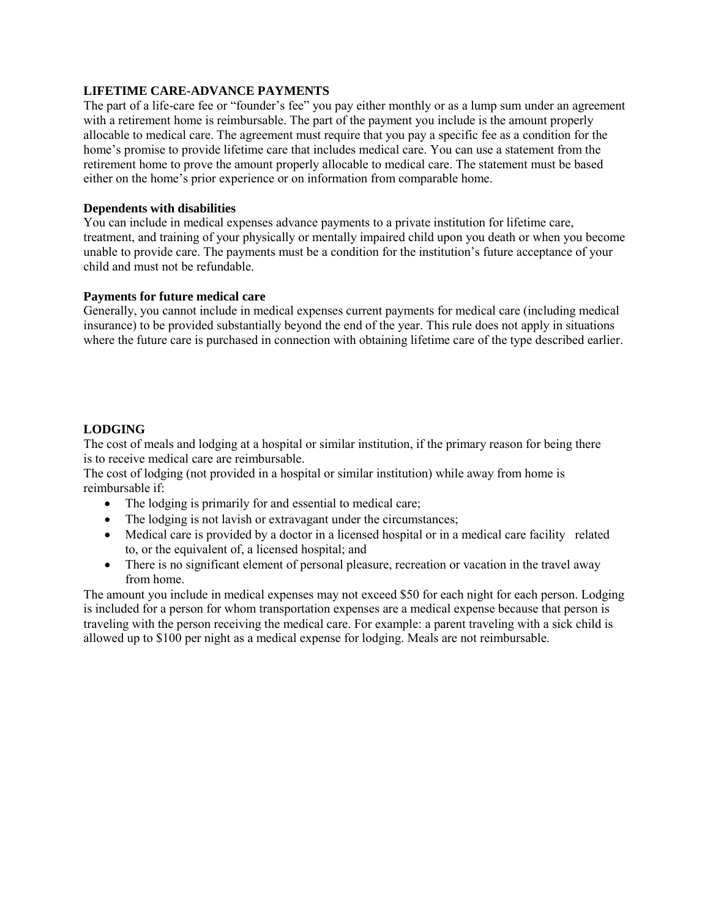# **LIFETIME CARE-ADVANCE PAYMENTS**

The part of a life-care fee or "founder's fee" you pay either monthly or as a lump sum under an agreement with a retirement home is reimbursable. The part of the payment you include is the amount properly allocable to medical care. The agreement must require that you pay a specific fee as a condition for the home's promise to provide lifetime care that includes medical care. You can use a statement from the retirement home to prove the amount properly allocable to medical care. The statement must be based either on the home's prior experience or on information from comparable home.

## **Dependents with disabilities**

You can include in medical expenses advance payments to a private institution for lifetime care, treatment, and training of your physically or mentally impaired child upon you death or when you become unable to provide care. The payments must be a condition for the institution's future acceptance of your child and must not be refundable.

# **Payments for future medical care**

Generally, you cannot include in medical expenses current payments for medical care (including medical insurance) to be provided substantially beyond the end of the year. This rule does not apply in situations where the future care is purchased in connection with obtaining lifetime care of the type described earlier.

# **LODGING**

The cost of meals and lodging at a hospital or similar institution, if the primary reason for being there is to receive medical care are reimbursable.

The cost of lodging (not provided in a hospital or similar institution) while away from home is reimbursable if:

- The lodging is primarily for and essential to medical care;
- The lodging is not lavish or extravagant under the circumstances;
- Medical care is provided by a doctor in a licensed hospital or in a medical care facility related to, or the equivalent of, a licensed hospital; and
- There is no significant element of personal pleasure, recreation or vacation in the travel away from home.

The amount you include in medical expenses may not exceed \$50 for each night for each person. Lodging is included for a person for whom transportation expenses are a medical expense because that person is traveling with the person receiving the medical care. For example: a parent traveling with a sick child is allowed up to \$100 per night as a medical expense for lodging. Meals are not reimbursable.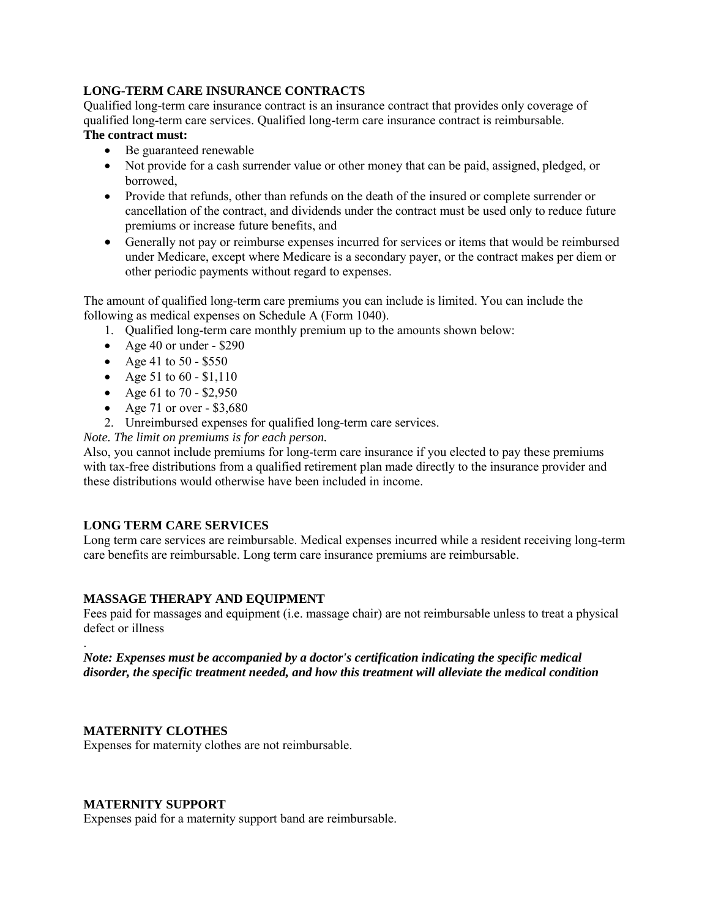# **LONG-TERM CARE INSURANCE CONTRACTS**

Qualified long-term care insurance contract is an insurance contract that provides only coverage of qualified long-term care services. Qualified long-term care insurance contract is reimbursable. **The contract must:** 

- Be guaranteed renewable
- Not provide for a cash surrender value or other money that can be paid, assigned, pledged, or borrowed,
- Provide that refunds, other than refunds on the death of the insured or complete surrender or cancellation of the contract, and dividends under the contract must be used only to reduce future premiums or increase future benefits, and
- Generally not pay or reimburse expenses incurred for services or items that would be reimbursed under Medicare, except where Medicare is a secondary payer, or the contract makes per diem or other periodic payments without regard to expenses.

The amount of qualified long-term care premiums you can include is limited. You can include the following as medical expenses on Schedule A (Form 1040).

- 1. Qualified long-term care monthly premium up to the amounts shown below:
- Age 40 or under  $$290$
- Age 41 to 50 \$550
- Age 51 to  $60 $1,110$
- Age 61 to 70 \$2,950
- Age 71 or over  $-$  \$3,680
- 2. Unreimbursed expenses for qualified long-term care services.

*Note. The limit on premiums is for each person.* 

Also, you cannot include premiums for long-term care insurance if you elected to pay these premiums with tax-free distributions from a qualified retirement plan made directly to the insurance provider and these distributions would otherwise have been included in income.

# **LONG TERM CARE SERVICES**

Long term care services are reimbursable. Medical expenses incurred while a resident receiving long-term care benefits are reimbursable. Long term care insurance premiums are reimbursable.

## **MASSAGE THERAPY AND EQUIPMENT**

Fees paid for massages and equipment (i.e. massage chair) are not reimbursable unless to treat a physical defect or illness

### . *Note: Expenses must be accompanied by a doctor's certification indicating the specific medical disorder, the specific treatment needed, and how this treatment will alleviate the medical condition*

## **MATERNITY CLOTHES**

Expenses for maternity clothes are not reimbursable.

## **MATERNITY SUPPORT**

Expenses paid for a maternity support band are reimbursable.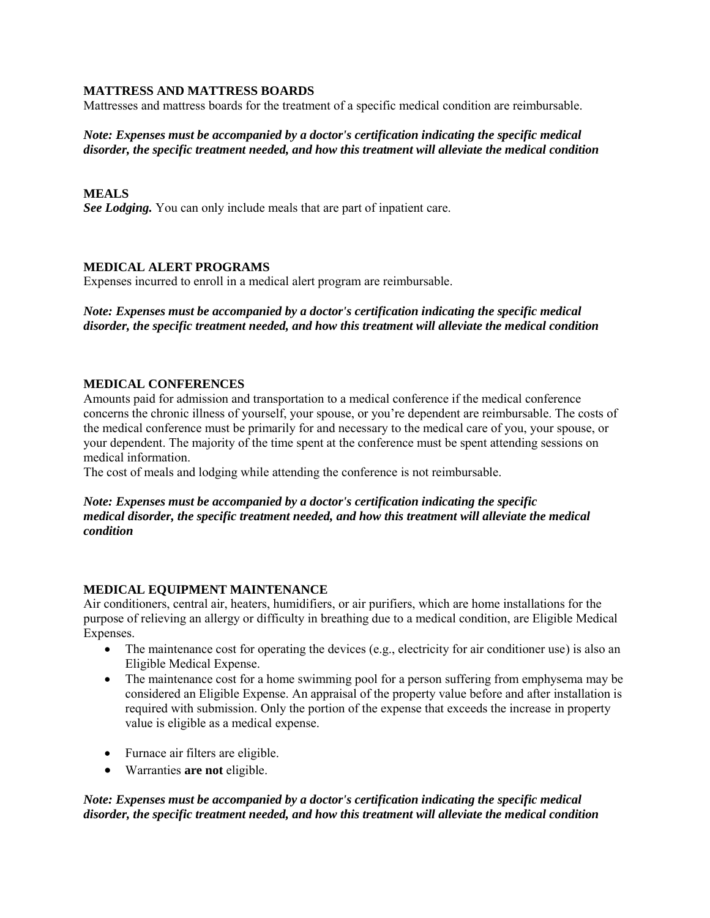## **MATTRESS AND MATTRESS BOARDS**

Mattresses and mattress boards for the treatment of a specific medical condition are reimbursable.

# *Note: Expenses must be accompanied by a doctor's certification indicating the specific medical disorder, the specific treatment needed, and how this treatment will alleviate the medical condition*

# **MEALS**

*See Lodging.* You can only include meals that are part of inpatient care.

# **MEDICAL ALERT PROGRAMS**

Expenses incurred to enroll in a medical alert program are reimbursable.

*Note: Expenses must be accompanied by a doctor's certification indicating the specific medical disorder, the specific treatment needed, and how this treatment will alleviate the medical condition*

# **MEDICAL CONFERENCES**

Amounts paid for admission and transportation to a medical conference if the medical conference concerns the chronic illness of yourself, your spouse, or you're dependent are reimbursable. The costs of the medical conference must be primarily for and necessary to the medical care of you, your spouse, or your dependent. The majority of the time spent at the conference must be spent attending sessions on medical information.

The cost of meals and lodging while attending the conference is not reimbursable.

## *Note: Expenses must be accompanied by a doctor's certification indicating the specific medical disorder, the specific treatment needed, and how this treatment will alleviate the medical condition*

# **MEDICAL EQUIPMENT MAINTENANCE**

Air conditioners, central air, heaters, humidifiers, or air purifiers, which are home installations for the purpose of relieving an allergy or difficulty in breathing due to a medical condition, are Eligible Medical Expenses.

- $\bullet$  The maintenance cost for operating the devices (e.g., electricity for air conditioner use) is also an Eligible Medical Expense.
- The maintenance cost for a home swimming pool for a person suffering from emphysema may be considered an Eligible Expense. An appraisal of the property value before and after installation is required with submission. Only the portion of the expense that exceeds the increase in property value is eligible as a medical expense.
- Furnace air filters are eligible.
- Warranties **are not** eligible.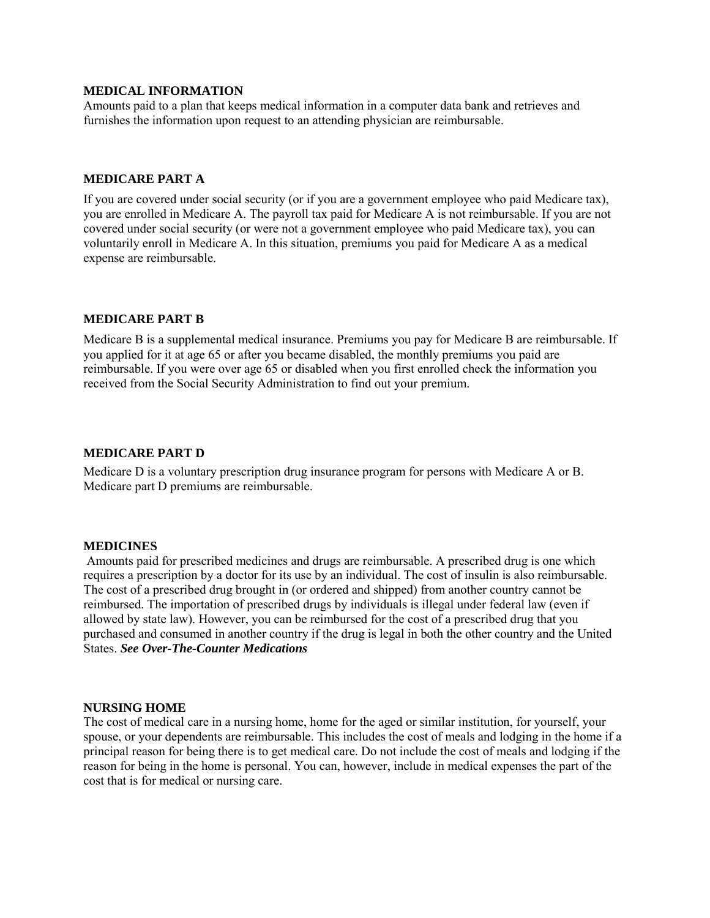### **MEDICAL INFORMATION**

Amounts paid to a plan that keeps medical information in a computer data bank and retrieves and furnishes the information upon request to an attending physician are reimbursable.

### **MEDICARE PART A**

If you are covered under social security (or if you are a government employee who paid Medicare tax), you are enrolled in Medicare A. The payroll tax paid for Medicare A is not reimbursable. If you are not covered under social security (or were not a government employee who paid Medicare tax), you can voluntarily enroll in Medicare A. In this situation, premiums you paid for Medicare A as a medical expense are reimbursable.

## **MEDICARE PART B**

Medicare B is a supplemental medical insurance. Premiums you pay for Medicare B are reimbursable. If you applied for it at age 65 or after you became disabled, the monthly premiums you paid are reimbursable. If you were over age 65 or disabled when you first enrolled check the information you received from the Social Security Administration to find out your premium.

#### **MEDICARE PART D**

Medicare D is a voluntary prescription drug insurance program for persons with Medicare A or B. Medicare part D premiums are reimbursable.

#### **MEDICINES**

Amounts paid for prescribed medicines and drugs are reimbursable. A prescribed drug is one which requires a prescription by a doctor for its use by an individual. The cost of insulin is also reimbursable. The cost of a prescribed drug brought in (or ordered and shipped) from another country cannot be reimbursed. The importation of prescribed drugs by individuals is illegal under federal law (even if allowed by state law). However, you can be reimbursed for the cost of a prescribed drug that you purchased and consumed in another country if the drug is legal in both the other country and the United States. *See Over-The-Counter Medications*

### **NURSING HOME**

The cost of medical care in a nursing home, home for the aged or similar institution, for yourself, your spouse, or your dependents are reimbursable. This includes the cost of meals and lodging in the home if a principal reason for being there is to get medical care. Do not include the cost of meals and lodging if the reason for being in the home is personal. You can, however, include in medical expenses the part of the cost that is for medical or nursing care.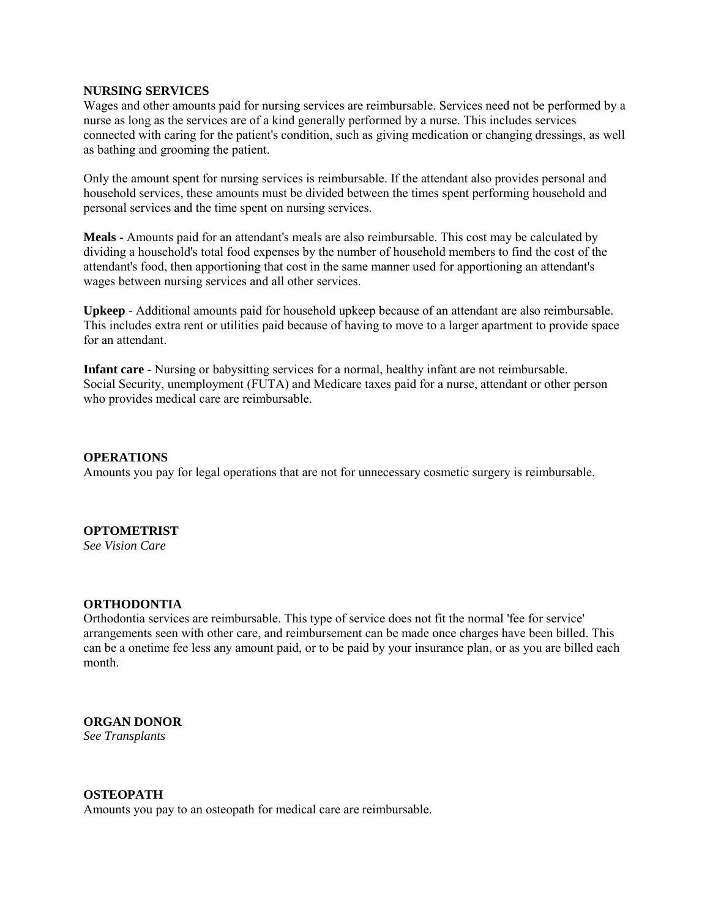### **NURSING SERVICES**

Wages and other amounts paid for nursing services are reimbursable. Services need not be performed by a nurse as long as the services are of a kind generally performed by a nurse. This includes services connected with caring for the patient's condition, such as giving medication or changing dressings, as well as bathing and grooming the patient.

Only the amount spent for nursing services is reimbursable. If the attendant also provides personal and household services, these amounts must be divided between the times spent performing household and personal services and the time spent on nursing services.

**Meals** - Amounts paid for an attendant's meals are also reimbursable. This cost may be calculated by dividing a household's total food expenses by the number of household members to find the cost of the attendant's food, then apportioning that cost in the same manner used for apportioning an attendant's wages between nursing services and all other services.

**Upkeep** - Additional amounts paid for household upkeep because of an attendant are also reimbursable. This includes extra rent or utilities paid because of having to move to a larger apartment to provide space for an attendant.

**Infant care** - Nursing or babysitting services for a normal, healthy infant are not reimbursable. Social Security, unemployment (FUTA) and Medicare taxes paid for a nurse, attendant or other person who provides medical care are reimbursable.

### **OPERATIONS**

Amounts you pay for legal operations that are not for unnecessary cosmetic surgery is reimbursable.

### **OPTOMETRIST**

*See Vision Care* 

### **ORTHODONTIA**

Orthodontia services are reimbursable. This type of service does not fit the normal 'fee for service' arrangements seen with other care, and reimbursement can be made once charges have been billed. This can be a onetime fee less any amount paid, or to be paid by your insurance plan, or as you are billed each month.

### **ORGAN DONOR**

*See Transplants* 

### **OSTEOPATH**

Amounts you pay to an osteopath for medical care are reimbursable.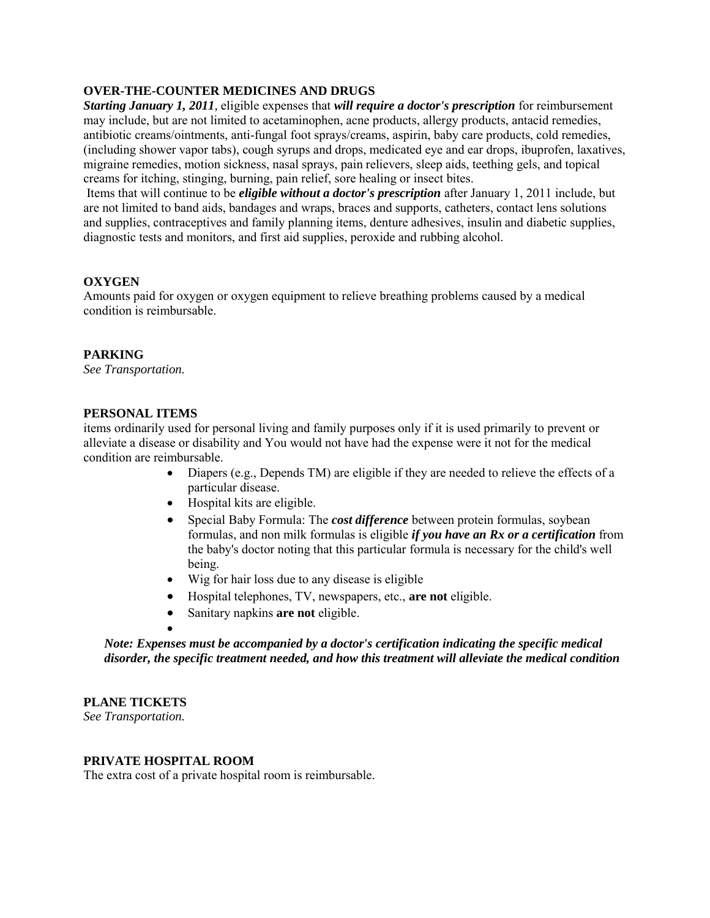# **OVER-THE-COUNTER MEDICINES AND DRUGS**

*Starting January 1, 2011,* eligible expenses that *will require a doctor's prescription* for reimbursement may include, but are not limited to acetaminophen, acne products, allergy products, antacid remedies, antibiotic creams/ointments, anti-fungal foot sprays/creams, aspirin, baby care products, cold remedies, (including shower vapor tabs), cough syrups and drops, medicated eye and ear drops, ibuprofen, laxatives, migraine remedies, motion sickness, nasal sprays, pain relievers, sleep aids, teething gels, and topical creams for itching, stinging, burning, pain relief, sore healing or insect bites.

Items that will continue to be *eligible without a doctor's prescription* after January 1, 2011 include, but are not limited to band aids, bandages and wraps, braces and supports, catheters, contact lens solutions and supplies, contraceptives and family planning items, denture adhesives, insulin and diabetic supplies, diagnostic tests and monitors, and first aid supplies, peroxide and rubbing alcohol.

# **OXYGEN**

Amounts paid for oxygen or oxygen equipment to relieve breathing problems caused by a medical condition is reimbursable.

# **PARKING**

*See [Transportation.](http://cigna.com/our_plans/medical/fsa/fsa_health.html#Transportation)*

## **PERSONAL ITEMS**

items ordinarily used for personal living and family purposes only if it is used primarily to prevent or alleviate a disease or disability and You would not have had the expense were it not for the medical condition are reimbursable.

- $\bullet$  Diapers (e.g., Depends TM) are eligible if they are needed to relieve the effects of a particular disease.
- Hospital kits are eligible.
- Special Baby Formula: The *cost difference* between protein formulas, soybean formulas, and non milk formulas is eligible *if you have an Rx or a certification* from the baby's doctor noting that this particular formula is necessary for the child's well being.
- Wig for hair loss due to any disease is eligible
- Hospital telephones, TV, newspapers, etc., **are not** eligible.
- Sanitary napkins **are not** eligible.

# *Note: Expenses must be accompanied by a doctor's certification indicating the specific medical disorder, the specific treatment needed, and how this treatment will alleviate the medical condition*

## **PLANE TICKETS**

*See [Transportation.](http://cigna.com/our_plans/medical/fsa/fsa_health.html#Transportation)* 

## **PRIVATE HOSPITAL ROOM**

 $\bullet$ 

The extra cost of a private hospital room is reimbursable.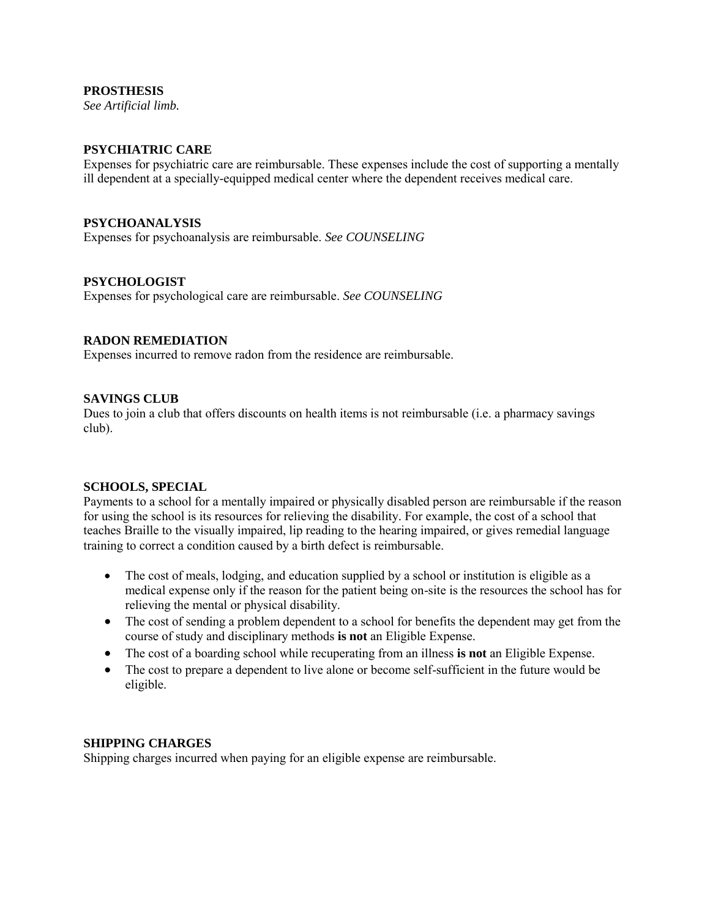## **PROSTHESIS**

*See [Artificial limb.](http://cigna.com/our_plans/medical/fsa/fsa_health.html#Artificiallimb)* 

# **PSYCHIATRIC CARE**

Expenses for psychiatric care are reimbursable. These expenses include the cost of supporting a mentally ill dependent at a specially-equipped medical center where the dependent receives medical care.

## **PSYCHOANALYSIS**

Expenses for psychoanalysis are reimbursable. *See COUNSELING*

## **PSYCHOLOGIST**

Expenses for psychological care are reimbursable. *See COUNSELING*

## **RADON REMEDIATION**

Expenses incurred to remove radon from the residence are reimbursable.

### **SAVINGS CLUB**

Dues to join a club that offers discounts on health items is not reimbursable (i.e. a pharmacy savings club).

### **SCHOOLS, SPECIAL**

Payments to a school for a mentally impaired or physically disabled person are reimbursable if the reason for using the school is its resources for relieving the disability. For example, the cost of a school that teaches Braille to the visually impaired, lip reading to the hearing impaired, or gives remedial language training to correct a condition caused by a birth defect is reimbursable.

- The cost of meals, lodging, and education supplied by a school or institution is eligible as a medical expense only if the reason for the patient being on-site is the resources the school has for relieving the mental or physical disability.
- The cost of sending a problem dependent to a school for benefits the dependent may get from the course of study and disciplinary methods **is not** an Eligible Expense.
- The cost of a boarding school while recuperating from an illness **is not** an Eligible Expense.
- The cost to prepare a dependent to live alone or become self-sufficient in the future would be eligible.

## **SHIPPING CHARGES**

Shipping charges incurred when paying for an eligible expense are reimbursable.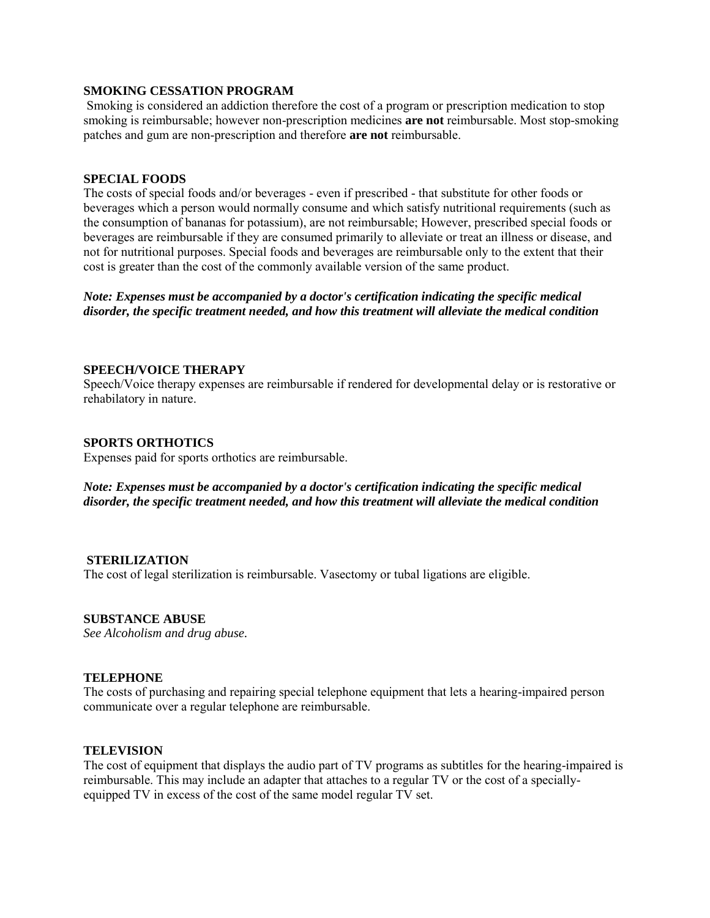### **SMOKING CESSATION PROGRAM**

Smoking is considered an addiction therefore the cost of a program or prescription medication to stop smoking is reimbursable; however non-prescription medicines **are not** reimbursable. Most stop-smoking patches and gum are non-prescription and therefore **are not** reimbursable.

### **SPECIAL FOODS**

The costs of special foods and/or beverages - even if prescribed - that substitute for other foods or beverages which a person would normally consume and which satisfy nutritional requirements (such as the consumption of bananas for potassium), are not reimbursable; However, prescribed special foods or beverages are reimbursable if they are consumed primarily to alleviate or treat an illness or disease, and not for nutritional purposes. Special foods and beverages are reimbursable only to the extent that their cost is greater than the cost of the commonly available version of the same product.

*Note: Expenses must be accompanied by a doctor's certification indicating the specific medical disorder, the specific treatment needed, and how this treatment will alleviate the medical condition*

### **SPEECH/VOICE THERAPY**

Speech/Voice therapy expenses are reimbursable if rendered for developmental delay or is restorative or rehabilatory in nature.

### **SPORTS ORTHOTICS**

Expenses paid for sports orthotics are reimbursable.

## *Note: Expenses must be accompanied by a doctor's certification indicating the specific medical disorder, the specific treatment needed, and how this treatment will alleviate the medical condition*

### **STERILIZATION**

The cost of legal sterilization is reimbursable. Vasectomy or tubal ligations are eligible.

### **SUBSTANCE ABUSE**

*See [Alcoholism and drug abuse.](http://cigna.com/our_plans/medical/fsa/fsa_health.html#Alcoholismanddrugabuse)*

### **TELEPHONE**

The costs of purchasing and repairing special telephone equipment that lets a hearing-impaired person communicate over a regular telephone are reimbursable.

### **TELEVISION**

The cost of equipment that displays the audio part of TV programs as subtitles for the hearing-impaired is reimbursable. This may include an adapter that attaches to a regular TV or the cost of a speciallyequipped TV in excess of the cost of the same model regular TV set.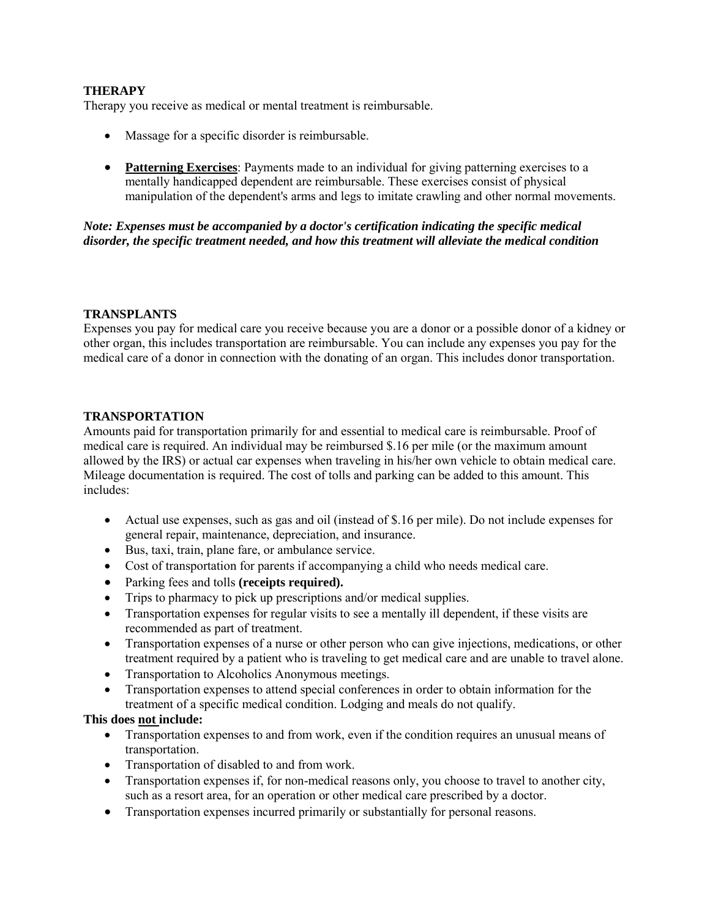# **THERAPY**

Therapy you receive as medical or mental treatment is reimbursable.

- Massage for a specific disorder is reimbursable.
- **Patterning Exercises**: Payments made to an individual for giving patterning exercises to a mentally handicapped dependent are reimbursable. These exercises consist of physical manipulation of the dependent's arms and legs to imitate crawling and other normal movements.

*Note: Expenses must be accompanied by a doctor's certification indicating the specific medical disorder, the specific treatment needed, and how this treatment will alleviate the medical condition* 

## **TRANSPLANTS**

Expenses you pay for medical care you receive because you are a donor or a possible donor of a kidney or other organ, this includes transportation are reimbursable. You can include any expenses you pay for the medical care of a donor in connection with the donating of an organ. This includes donor transportation.

## **TRANSPORTATION**

Amounts paid for transportation primarily for and essential to medical care is reimbursable. Proof of medical care is required. An individual may be reimbursed \$.16 per mile (or the maximum amount allowed by the IRS) or actual car expenses when traveling in his/her own vehicle to obtain medical care. Mileage documentation is required. The cost of tolls and parking can be added to this amount. This includes:

- Actual use expenses, such as gas and oil (instead of \$.16 per mile). Do not include expenses for general repair, maintenance, depreciation, and insurance.
- Bus, taxi, train, plane fare, or ambulance service.
- Cost of transportation for parents if accompanying a child who needs medical care.
- Parking fees and tolls **(receipts required).**
- Trips to pharmacy to pick up prescriptions and/or medical supplies.
- Transportation expenses for regular visits to see a mentally ill dependent, if these visits are recommended as part of treatment.
- Transportation expenses of a nurse or other person who can give injections, medications, or other treatment required by a patient who is traveling to get medical care and are unable to travel alone.
- Transportation to Alcoholics Anonymous meetings.
- Transportation expenses to attend special conferences in order to obtain information for the treatment of a specific medical condition. Lodging and meals do not qualify.

## **This does not include:**

- Transportation expenses to and from work, even if the condition requires an unusual means of transportation.
- Transportation of disabled to and from work.
- Transportation expenses if, for non-medical reasons only, you choose to travel to another city, such as a resort area, for an operation or other medical care prescribed by a doctor.
- Transportation expenses incurred primarily or substantially for personal reasons.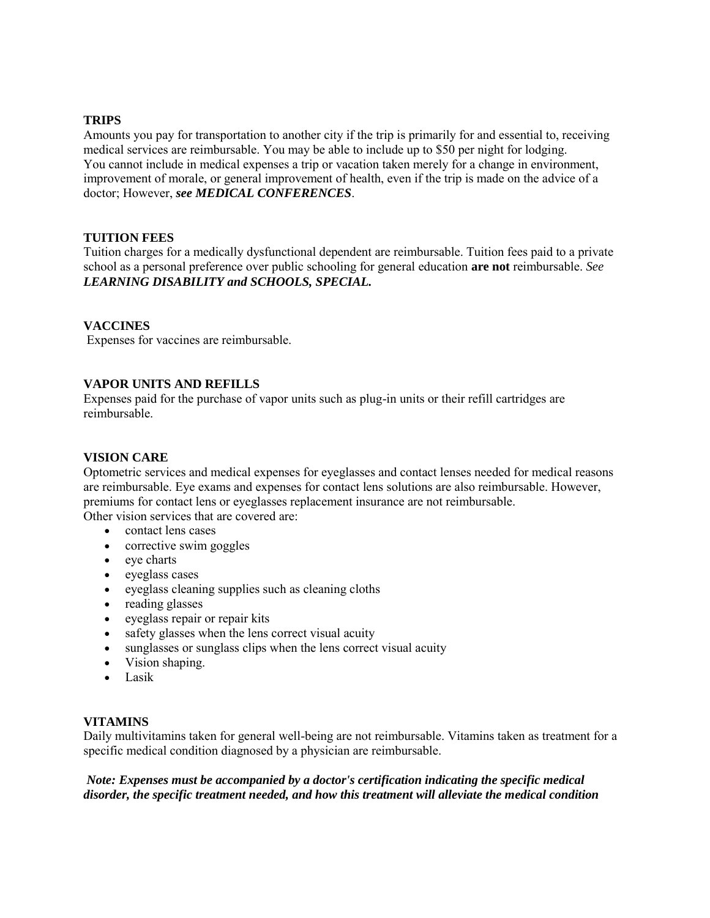## **TRIPS**

Amounts you pay for transportation to another city if the trip is primarily for and essential to, receiving medical services are reimbursable. You may be able to include up to \$50 per night for lodging. You cannot include in medical expenses a trip or vacation taken merely for a change in environment, improvement of morale, or general improvement of health, even if the trip is made on the advice of a doctor; However, *see MEDICAL CONFERENCES*.

# **TUITION FEES**

Tuition charges for a medically dysfunctional dependent are reimbursable. Tuition fees paid to a private school as a personal preference over public schooling for general education **are not** reimbursable. *See LEARNING DISABILITY and SCHOOLS, SPECIAL.*

# **VACCINES**

Expenses for vaccines are reimbursable.

# **VAPOR UNITS AND REFILLS**

Expenses paid for the purchase of vapor units such as plug-in units or their refill cartridges are reimbursable.

## **VISION CARE**

Optometric services and medical expenses for eyeglasses and contact lenses needed for medical reasons are reimbursable. Eye exams and expenses for contact lens solutions are also reimbursable. However, premiums for contact lens or eyeglasses replacement insurance are not reimbursable.

Other vision services that are covered are:

- contact lens cases
- corrective swim goggles
- eye charts
- eyeglass cases
- $\bullet$  eyeglass cleaning supplies such as cleaning cloths
- reading glasses
- eyeglass repair or repair kits
- safety glasses when the lens correct visual acuity
- sunglasses or sunglass clips when the lens correct visual acuity
- Vision shaping.
- Lasik

## **VITAMINS**

Daily multivitamins taken for general well-being are not reimbursable. Vitamins taken as treatment for a specific medical condition diagnosed by a physician are reimbursable.